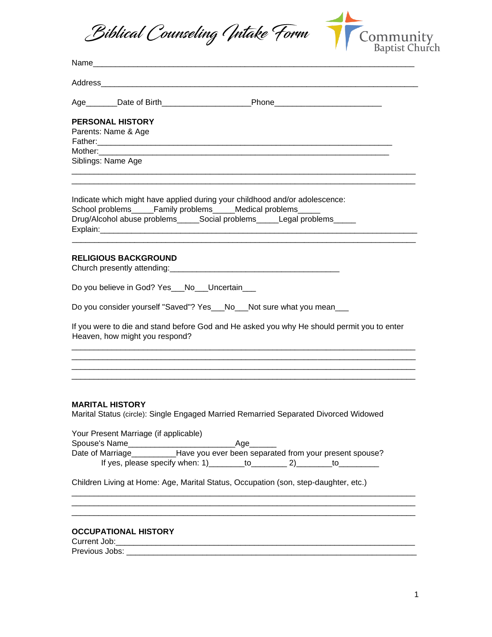



| Address and the contract of the contract of the contract of the contract of the contract of the contract of the contract of the contract of the contract of the contract of the contract of the contract of the contract of th |
|--------------------------------------------------------------------------------------------------------------------------------------------------------------------------------------------------------------------------------|
| Age________Date of Birth________________________Phone___________________________                                                                                                                                               |
| <b>PERSONAL HISTORY</b>                                                                                                                                                                                                        |
| Parents: Name & Age                                                                                                                                                                                                            |
|                                                                                                                                                                                                                                |
|                                                                                                                                                                                                                                |
| Siblings: Name Age                                                                                                                                                                                                             |
| Indicate which might have applied during your childhood and/or adolescence:<br>School problems_____Family problems_____Medical problems_<br>Drug/Alcohol abuse problems_____Social problems_____Legal problems_____            |
|                                                                                                                                                                                                                                |
| <b>RELIGIOUS BACKGROUND</b>                                                                                                                                                                                                    |
|                                                                                                                                                                                                                                |
| Do you believe in God? Yes__No__Uncertain___                                                                                                                                                                                   |
| Do you consider yourself "Saved"? Yes___No___Not sure what you mean___                                                                                                                                                         |
| If you were to die and stand before God and He asked you why He should permit you to enter<br>Heaven, how might you respond?                                                                                                   |
|                                                                                                                                                                                                                                |
|                                                                                                                                                                                                                                |
| <b>MARITAL HISTORY</b><br>Marital Status (circle): Single Engaged Married Remarried Separated Divorced Widowed                                                                                                                 |
| Your Present Marriage (if applicable)                                                                                                                                                                                          |
|                                                                                                                                                                                                                                |
|                                                                                                                                                                                                                                |
| If yes, please specify when: $1)$ _________ to _________ 2) ________ to _________                                                                                                                                              |
| Children Living at Home: Age, Marital Status, Occupation (son, step-daughter, etc.)                                                                                                                                            |
|                                                                                                                                                                                                                                |
| <b>OCCUPATIONAL HISTORY</b>                                                                                                                                                                                                    |
|                                                                                                                                                                                                                                |
| Previous Jobs:                                                                                                                                                                                                                 |